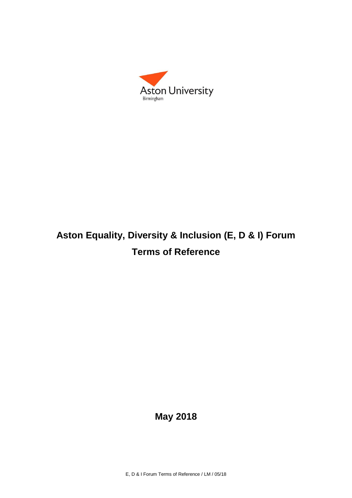

# **Aston Equality, Diversity & Inclusion (E, D & I) Forum Terms of Reference**

# **May 2018**